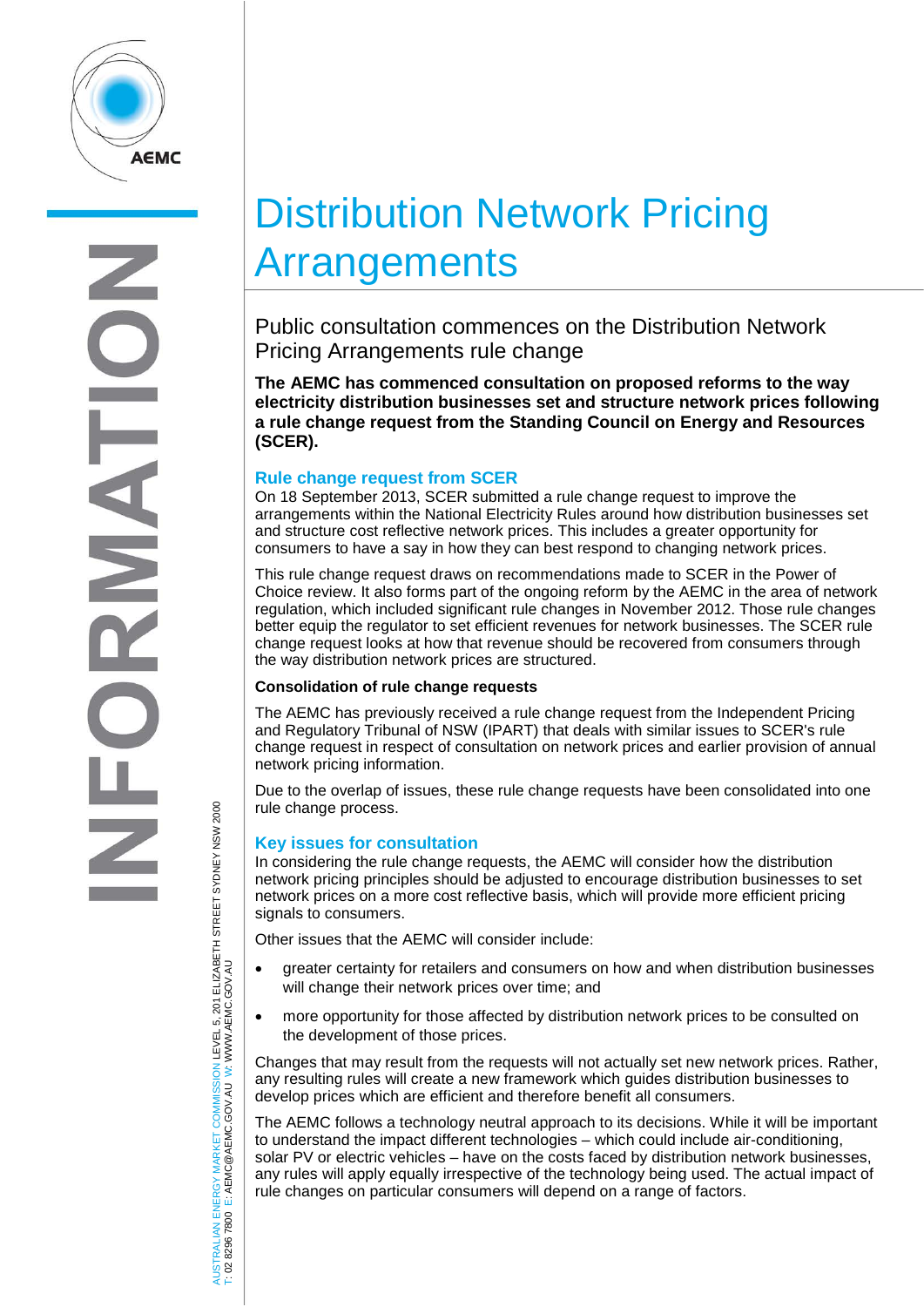

# Distribution Network Pricing **Arrangements**

Public consultation commences on the Distribution Network Pricing Arrangements rule change

**The AEMC has commenced consultation on proposed reforms to the way electricity distribution businesses set and structure network prices following a rule change request from the Standing Council on Energy and Resources (SCER).** 

# **Rule change request from SCER**

On 18 September 2013, SCER submitted a rule change request to improve the arrangements within the National Electricity Rules around how distribution businesses set and structure cost reflective network prices. This includes a greater opportunity for consumers to have a say in how they can best respond to changing network prices.

This rule change request draws on recommendations made to SCER in the Power of Choice review. It also forms part of the ongoing reform by the AEMC in the area of network regulation, which included significant rule changes in November 2012. Those rule changes better equip the regulator to set efficient revenues for network businesses. The SCER rule change request looks at how that revenue should be recovered from consumers through the way distribution network prices are structured.

## **Consolidation of rule change requests**

The AEMC has previously received a rule change request from the Independent Pricing and Regulatory Tribunal of NSW (IPART) that deals with similar issues to SCER's rule change request in respect of consultation on network prices and earlier provision of annual network pricing information.

Due to the overlap of issues, these rule change requests have been consolidated into one rule change process.

# **Key issues for consultation**

In considering the rule change requests, the AEMC will consider how the distribution network pricing principles should be adjusted to encourage distribution businesses to set network prices on a more cost reflective basis, which will provide more efficient pricing signals to consumers.

Other issues that the AEMC will consider include:

- greater certainty for retailers and consumers on how and when distribution businesses will change their network prices over time; and
- more opportunity for those affected by distribution network prices to be consulted on the development of those prices.

Changes that may result from the requests will not actually set new network prices. Rather, any resulting rules will create a new framework which guides distribution businesses to develop prices which are efficient and therefore benefit all consumers.

The AEMC follows a technology neutral approach to its decisions. While it will be important to understand the impact different technologies – which could include air-conditioning, solar PV or electric vehicles – have on the costs faced by distribution network businesses, any rules will apply equally irrespective of the technology being used. The actual impact of rule changes on particular consumers will depend on a range of factors.

'RALIAN ENERGY MARKET COMMISSION LEVEL 5, 201 ELIZABETH STREET SYDNEY NSW 2000<br>8296 7800 E: AEMC@AEMC.GOV.AU W: WWW.AEMC.GOV.AU AUSTRALIAN ENERGY MARKET COMMISSION LEVEL 5, 201 ELIZABETH STREET SYDNEY NSW 2000 W: WWW.AEMC.GOV.AU T: 02 8296 7800 E: AEMC@AEMC.GOV.AU **ISL**  $\overline{8}$